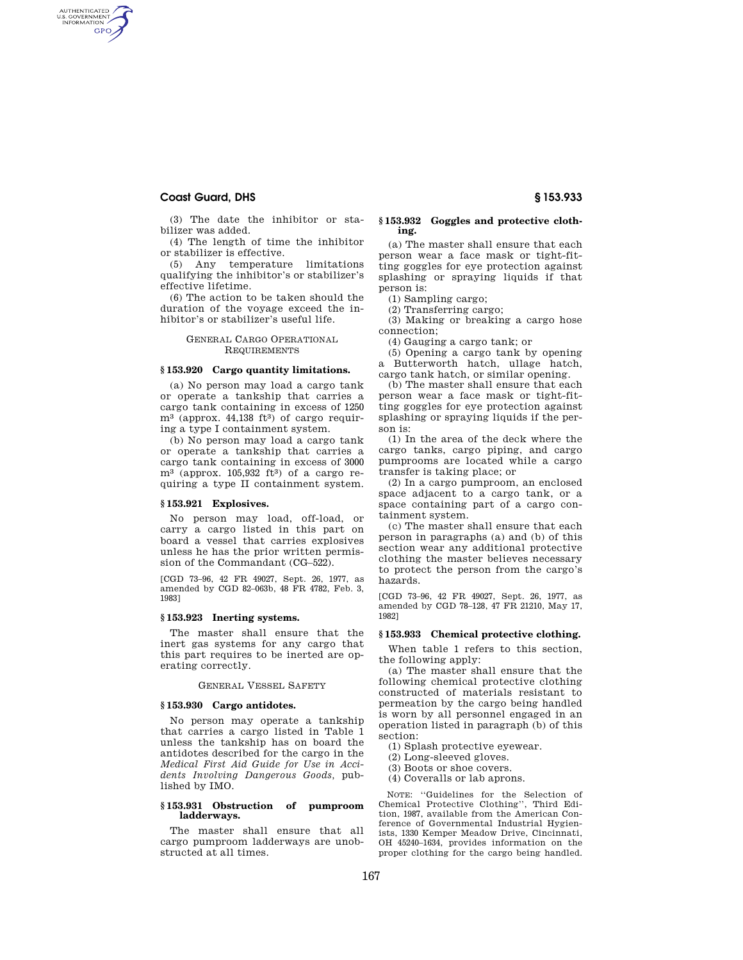# **Coast Guard, DHS § 153.933**

AUTHENTICATED<br>U.S. GOVERNMENT<br>INFORMATION GPO

> (3) The date the inhibitor or stabilizer was added.

(4) The length of time the inhibitor or stabilizer is effective.

(5) Any temperature limitations qualifying the inhibitor's or stabilizer's effective lifetime.

(6) The action to be taken should the duration of the voyage exceed the inhibitor's or stabilizer's useful life.

## GENERAL CARGO OPERATIONAL **REQUIREMENTS**

#### **§ 153.920 Cargo quantity limitations.**

(a) No person may load a cargo tank or operate a tankship that carries a cargo tank containing in excess of 1250  $m^3$  (approx. 44,138 ft<sup>3</sup>) of cargo requiring a type I containment system.

(b) No person may load a cargo tank or operate a tankship that carries a cargo tank containing in excess of 3000  $m^3$  (approx. 105,932 ft<sup>3</sup>) of a cargo requiring a type II containment system.

# **§ 153.921 Explosives.**

No person may load, off-load, or carry a cargo listed in this part on board a vessel that carries explosives unless he has the prior written permission of the Commandant (CG–522).

[CGD 73–96, 42 FR 49027, Sept. 26, 1977, as amended by CGD 82–063b, 48 FR 4782, Feb. 3, 1983]

### **§ 153.923 Inerting systems.**

The master shall ensure that the inert gas systems for any cargo that this part requires to be inerted are operating correctly.

## GENERAL VESSEL SAFETY

# **§ 153.930 Cargo antidotes.**

No person may operate a tankship that carries a cargo listed in Table 1 unless the tankship has on board the antidotes described for the cargo in the *Medical First Aid Guide for Use in Accidents Involving Dangerous Goods,* published by IMO.

#### **§ 153.931 Obstruction of pumproom ladderways.**

The master shall ensure that all cargo pumproom ladderways are unobstructed at all times.

#### **§ 153.932 Goggles and protective clothing.**

(a) The master shall ensure that each person wear a face mask or tight-fitting goggles for eye protection against splashing or spraying liquids if that person is:

(1) Sampling cargo;

(2) Transferring cargo;

(3) Making or breaking a cargo hose connection;

(4) Gauging a cargo tank; or

(5) Opening a cargo tank by opening a Butterworth hatch, ullage hatch, cargo tank hatch, or similar opening.

(b) The master shall ensure that each person wear a face mask or tight-fitting goggles for eye protection against splashing or spraying liquids if the person is:

(1) In the area of the deck where the cargo tanks, cargo piping, and cargo pumprooms are located while a cargo transfer is taking place; or

(2) In a cargo pumproom, an enclosed space adjacent to a cargo tank, or a space containing part of a cargo containment system.

(c) The master shall ensure that each person in paragraphs (a) and (b) of this section wear any additional protective clothing the master believes necessary to protect the person from the cargo's hazards.

[CGD 73–96, 42 FR 49027, Sept. 26, 1977, as amended by CGD 78–128, 47 FR 21210, May 17, 1982]

#### **§ 153.933 Chemical protective clothing.**

When table 1 refers to this section, the following apply:

(a) The master shall ensure that the following chemical protective clothing constructed of materials resistant to permeation by the cargo being handled is worn by all personnel engaged in an operation listed in paragraph (b) of this section:

(1) Splash protective eyewear.

(2) Long-sleeved gloves.

(3) Boots or shoe covers.

(4) Coveralls or lab aprons.

NOTE: ''Guidelines for the Selection of Chemical Protective Clothing'', Third Edition, 1987, available from the American Conference of Governmental Industrial Hygienists, 1330 Kemper Meadow Drive, Cincinnati, OH 45240–1634, provides information on the proper clothing for the cargo being handled.